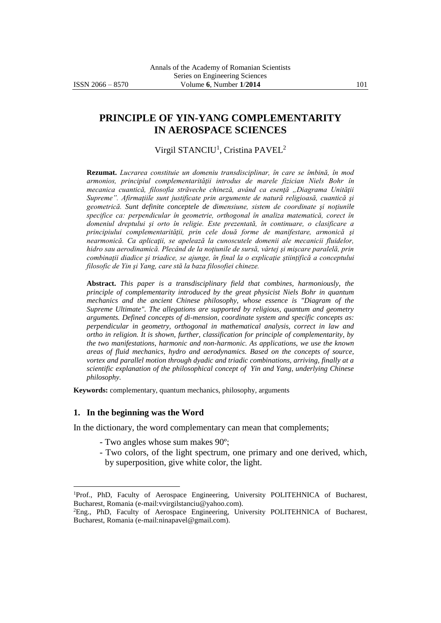# **PRINCIPLE OF YIN-YANG COMPLEMENTARITY IN AEROSPACE SCIENCES**

### Virgil STANCIU<sup>1</sup>, Cristina PAVEL<sup>2</sup>

**Rezumat.** *Lucrarea constituie un domeniu transdisciplinar, în care se îmbină, în mod armonios, principiul complementarităţii introdus de marele fizician Niels Bohr în mecanica cuantică, filosofia străveche chineză, având ca esenţă "Diagrama Unităţii Supreme". Afirmaţiile sunt justificate prin argumente de natură religioasă, cuantică şi geometrică. Sunt definite conceptele de dimensiune, sistem de coordinate şi noţiunile specifice ca: perpendicular în geometrie, orthogonal în analiza matematică, corect în domeniul dreptului şi orto în religie. Este prezentată, în continuare, o clasificare a principiului complementarităţii, prin cele două forme de manifestare, armonică şi nearmonică. Ca aplicaţii, se apelează la cunoscutele domenii ale mecanicii fluidelor, hidro sau aerodinamică. Plecând de la noţiunile de sursă, vârtej şi mişcare paralelă, prin combinaţii diadice şi triadice, se ajunge, în final la o explicaţie ştiinţifică a conceptului filosofic de Yin şi Yang, care stă la baza filosofiei chineze.*

**Abstract.** *This paper is a transdisciplinary field that combines, harmoniously, the principle of complementarity introduced by the great physicist Niels Bohr in quantum mechanics and the ancient Chinese philosophy, whose essence is "Diagram of the Supreme Ultimate". The allegations are supported by religious, quantum and geometry arguments. Defined concepts of di-mension, coordinate system and specific concepts as: perpendicular in geometry, orthogonal in mathematical analysis, correct in law and ortho in religion. It is shown, further, classification for principle of complementarity, by the two manifestations, harmonic and non-harmonic. As applications, we use the known areas of fluid mechanics, hydro and aerodynamics. Based on the concepts of source, vortex and parallel motion through dyadic and triadic combinations, arriving, finally at a scientific explanation of the philosophical concept of Yin and Yang, underlying Chinese philosophy.*

**Keywords:** complementary, quantum mechanics, philosophy, arguments

#### **1. In the beginning was the Word**

 $\overline{a}$ 

In the dictionary, the word complementary can mean that complements;

- Two angles whose sum makes 90º;
- Two colors, of the light spectrum, one primary and one derived, which, by superposition, give white color, the light.

<sup>1</sup>Prof., PhD, Faculty of Aerospace Engineering, University POLITEHNICA of Bucharest, Bucharest, Romania (e-mail:vvirgilstanciu@yahoo.com).

<sup>2</sup>Eng., PhD, Faculty of Aerospace Engineering, University POLITEHNICA of Bucharest, Bucharest, Romania (e-mail:ninapavel@gmail.com).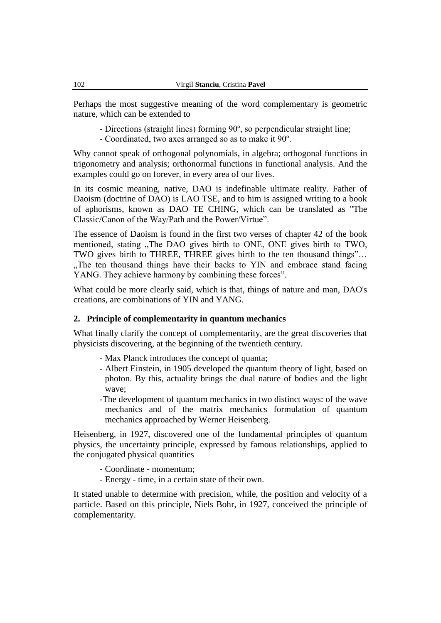Perhaps the most suggestive meaning of the word complementary is geometric nature, which can be extended to

- Directions (straight lines) forming 90º, so perpendicular straight line;
- Coordinated, two axes arranged so as to make it 90º.

Why cannot speak of orthogonal polynomials, in algebra; orthogonal functions in trigonometry and analysis; orthonormal functions in functional analysis. And the examples could go on forever, in every area of our lives.

In its cosmic meaning, native, DAO is indefinable ultimate reality. Father of Daoism (doctrine of DAO) is LAO TSE, and to him is assigned writing to a book of aphorisms, known as DAO TE CHING, which can be translated as "The Classic/Canon of the Way/Path and the Power/Virtue".

The essence of Daoism is found in the first two verses of chapter 42 of the book mentioned, stating "The DAO gives birth to ONE, ONE gives birth to TWO, TWO gives birth to THREE, THREE gives birth to the ten thousand things"… "The ten thousand things have their backs to YIN and embrace stand facing" YANG. They achieve harmony by combining these forces".

What could be more clearly said, which is that, things of nature and man, DAO's creations, are combinations of YIN and YANG.

### **2. Principle of complementarity in quantum mechanics**

What finally clarify the concept of complementarity, are the great discoveries that physicists discovering, at the beginning of the twentieth century.

- Max Planck introduces the concept of quanta;
- Albert Einstein, in 1905 developed the quantum theory of light, based on photon. By this, actuality brings the dual nature of bodies and the light wave;
- -The development of quantum mechanics in two distinct ways: of the wave mechanics and of the matrix mechanics formulation of quantum mechanics approached by Werner Heisenberg.

Heisenberg, in 1927, discovered one of the fundamental principles of quantum physics, the uncertainty principle, expressed by famous relationships, applied to the conjugated physical quantities

- Coordinate momentum;
- Energy time, in a certain state of their own.

It stated unable to determine with precision, while, the position and velocity of a particle. Based on this principle, Niels Bohr, in 1927, conceived the principle of complementarity.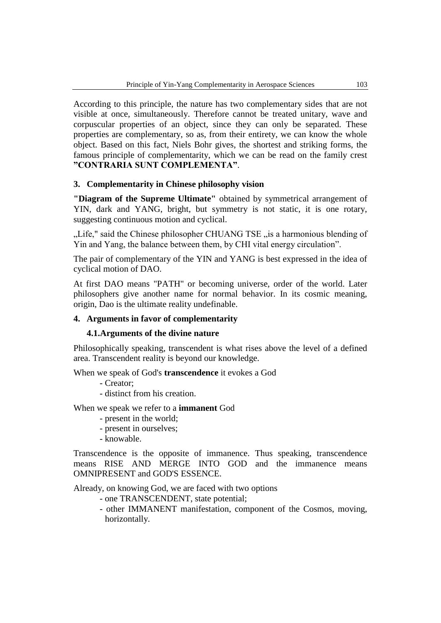According to this principle, the nature has two complementary sides that are not visible at once, simultaneously. Therefore cannot be treated unitary, wave and corpuscular properties of an object, since they can only be separated. These properties are complementary, so as, from their entirety, we can know the whole object. Based on this fact, Niels Bohr gives, the shortest and striking forms, the famous principle of complementarity, which we can be read on the family crest **"CONTRARIA SUNT COMPLEMENTA"**.

### **3. Complementarity in Chinese philosophy vision**

**"Diagram of the Supreme Ultimate"** obtained by symmetrical arrangement of YIN, dark and YANG, bright, but symmetry is not static, it is one rotary, suggesting continuous motion and cyclical.

"Life," said the Chinese philosopher CHUANG TSE "is a harmonious blending of Yin and Yang, the balance between them, by CHI vital energy circulation".

The pair of complementary of the YIN and YANG is best expressed in the idea of cyclical motion of DAO.

At first DAO means "PATH" or becoming universe, order of the world. Later philosophers give another name for normal behavior. In its cosmic meaning, origin, Dao is the ultimate reality undefinable.

### **4. Arguments in favor of complementarity**

#### **4.1.Arguments of the divine nature**

Philosophically speaking, transcendent is what rises above the level of a defined area. Transcendent reality is beyond our knowledge.

When we speak of God's **transcendence** it evokes a God

- Creator;
- distinct from his creation.

When we speak we refer to a **immanent** God

- present in the world;
- present in ourselves;
- knowable.

Transcendence is the opposite of immanence. Thus speaking, transcendence means RISE AND MERGE INTO GOD and the immanence means OMNIPRESENT and GOD'S ESSENCE.

Already, on knowing God, we are faced with two options

- one TRANSCENDENT, state potential;
- other IMMANENT manifestation, component of the Cosmos, moving, horizontally.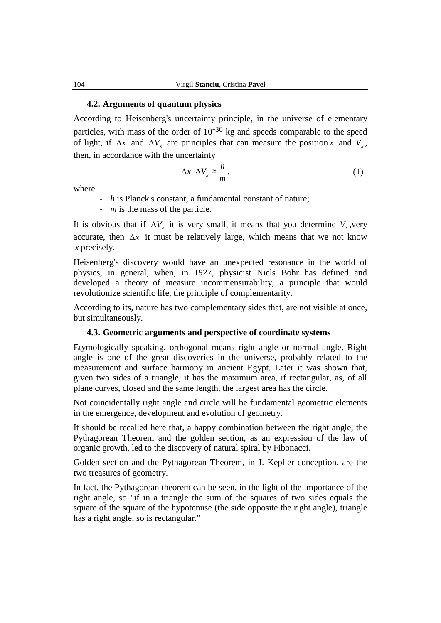#### **4.2. Arguments of quantum physics**

According to Heisenberg's uncertainty principle, in the universe of elementary particles, with mass of the order of  $10^{-30}$  kg and speeds comparable to the speed of light, if  $\Delta x$  and  $\Delta V_x$  are principles that can measure the position x and  $V_x$ , then, in accordance with the uncertainty

$$
\Delta x \cdot \Delta V_x \cong \frac{h}{m},\tag{1}
$$

where

- *h* is Planck's constant, a fundamental constant of nature;

- *m* is the mass of the particle.

It is obvious that if  $\Delta V_x$  it is very small, it means that you determine  $V_x$ , very accurate, then  $\Delta x$  it must be relatively large, which means that we not know *x* precisely.

Heisenberg's discovery would have an unexpected resonance in the world of physics, in general, when, in 1927, physicist Niels Bohr has defined and developed a theory of measure incommensurability, a principle that would revolutionize scientific life, the principle of complementarity.

According to its, nature has two complementary sides that, are not visible at once, but simultaneously.

### **4.3. Geometric arguments and perspective of coordinate systems**

Etymologically speaking, orthogonal means right angle or normal angle. Right angle is one of the great discoveries in the universe, probably related to the measurement and surface harmony in ancient Egypt. Later it was shown that, given two sides of a triangle, it has the maximum area, if rectangular, as, of all plane curves, closed and the same length, the largest area has the circle.

Not coincidentally right angle and circle will be fundamental geometric elements in the emergence, development and evolution of geometry.

It should be recalled here that, a happy combination between the right angle, the Pythagorean Theorem and the golden section, as an expression of the law of organic growth, led to the discovery of natural spiral by Fibonacci.

Golden section and the Pythagorean Theorem, in J. Kepller conception, are the two treasures of geometry.

In fact, the Pythagorean theorem can be seen, in the light of the importance of the right angle, so "if in a triangle the sum of the squares of two sides equals the square of the square of the hypotenuse (the side opposite the right angle), triangle has a right angle, so is rectangular."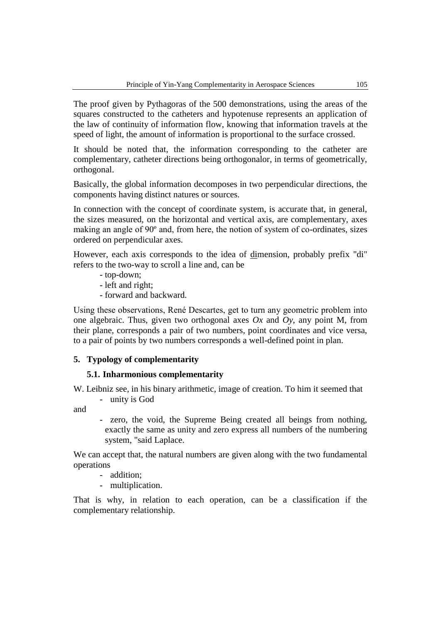The proof given by Pythagoras of the 500 demonstrations, using the areas of the squares constructed to the catheters and hypotenuse represents an application of the law of continuity of information flow, knowing that information travels at the speed of light, the amount of information is proportional to the surface crossed.

It should be noted that, the information corresponding to the catheter are complementary, catheter directions being orthogonalor, in terms of geometrically, orthogonal.

Basically, the global information decomposes in two perpendicular directions, the components having distinct natures or sources.

In connection with the concept of coordinate system, is accurate that, in general, the sizes measured, on the horizontal and vertical axis, are complementary, axes making an angle of 90º and, from here, the notion of system of co-ordinates, sizes ordered on perpendicular axes.

However, each axis corresponds to the idea of dimension, probably prefix "di" refers to the two-way to scroll a line and, can be

- top-down;
- left and right;
- forward and backward.

Using these observations, René Descartes, get to turn any geometric problem into one algebraic. Thus, given two orthogonal axes *Ox* and *Oy*, any point M, from their plane, corresponds a pair of two numbers, point coordinates and vice versa, to a pair of points by two numbers corresponds a well-defined point in plan.

### **5. Typology of complementarity**

### **5.1. Inharmonious complementarity**

W. Leibniz see, in his binary arithmetic, image of creation. To him it seemed that - unity is God

and

- zero, the void, the Supreme Being created all beings from nothing, exactly the same as unity and zero express all numbers of the numbering system, "said Laplace.

We can accept that, the natural numbers are given along with the two fundamental operations

- addition;
- multiplication.

That is why, in relation to each operation, can be a classification if the complementary relationship.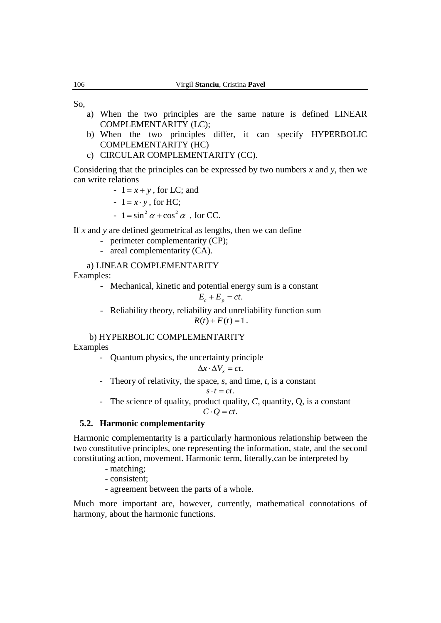So,

- a) When the two principles are the same nature is defined LINEAR COMPLEMENTARITY (LC);
- b) When the two principles differ, it can specify HYPERBOLIC COMPLEMENTARITY (HC)
- c) CIRCULAR COMPLEMENTARITY (CC).

Considering that the principles can be expressed by two numbers *x* and *y*, then we can write relations

- $1 = x + y$ , for LC; and
- $1 = x \cdot y$ , for HC;
- $-1 = \sin^2 \alpha + \cos^2 \alpha$ , for CC.

If *x* and *y* are defined geometrical as lengths, then we can define

- perimeter complementarity (CP);
- areal complementarity (CA).

### a) LINEAR COMPLEMENTARITY

Examples:

- Mechanical, kinetic and potential energy sum is a constant

$$
E_c + E_p = ct.
$$

- Reliability theory, reliability and unreliability function sum  $R(t) + F(t) = 1$ .

### b) HYPERBOLIC COMPLEMENTARITY

Examples

- Quantum physics, the uncertainty principle

$$
\Delta x \cdot \Delta V_x = ct.
$$

- Theory of relativity, the space, *s*, and time, *t*, is a constant

$$
s\cdot t=ct.
$$

- The science of quality, product quality, *C,* quantity, Q, is a constant

 $C \cdot Q = ct$ .

### **5.2. Harmonic complementarity**

Harmonic complementarity is a particularly harmonious relationship between the two constitutive principles, one representing the information, state, and the second constituting action, movement. Harmonic term, literally,can be interpreted by

- matching;

- consistent;

- agreement between the parts of a whole.

Much more important are, however, currently, mathematical connotations of harmony, about the harmonic functions.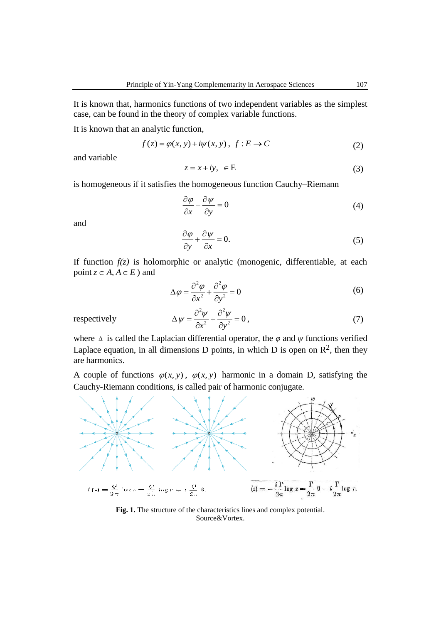It is known that, harmonics functions of two independent variables as the simplest case, can be found in the theory of complex variable functions.

It is known that an analytic function,

$$
f(z) = \varphi(x, y) + i\psi(x, y), \ f: E \to C
$$
 (2)

and variable

$$
z = x + iy, \ \in E \tag{3}
$$

is homogeneous if it satisfies the homogeneous function Cauchy–Riemann

$$
\frac{\partial \varphi}{\partial x} - \frac{\partial \psi}{\partial y} = 0 \tag{4}
$$

and

$$
\frac{\partial \varphi}{\partial y} + \frac{\partial \psi}{\partial x} = 0.
$$
 (5)

If function  $f(z)$  is holomorphic or analytic (monogenic, differentiable, at each point  $z \in A$ ,  $A \in E$  ) and

$$
\Delta \varphi = \frac{\partial^2 \varphi}{\partial x^2} + \frac{\partial^2 \varphi}{\partial y^2} = 0
$$
\n(6)

respectively

$$
\Delta \psi = \frac{\partial^2 \psi}{\partial x^2} + \frac{\partial^2 \psi}{\partial y^2} = 0,
$$
\n(7)

where  $\Delta$  is called the Laplacian differential operator, the  $\varphi$  and  $\psi$  functions verified Laplace equation, in all dimensions D points, in which D is open on  $\mathbb{R}^2$ , then they are harmonics.

A couple of functions  $\varphi(x, y)$ ,  $\varphi(x, y)$  harmonic in a domain D, satisfying the Cauchy-Riemann conditions, is called pair of harmonic conjugate.



Fig. 1. The structure of the characteristics lines and complex potential. Source&Vortex.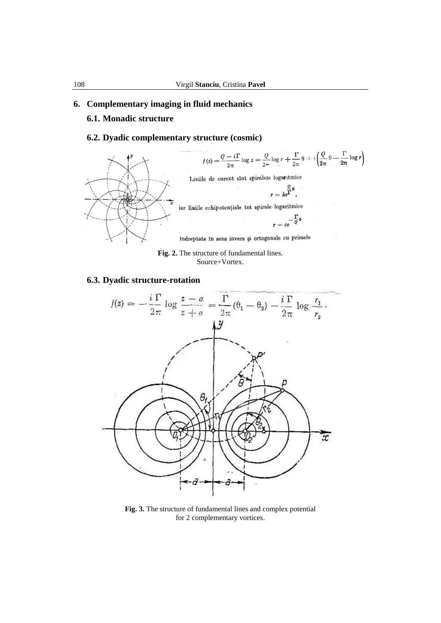#### **6. Complementary imaging in fluid mechanics**

### **6.1. Monadic structure**

# **6.2. Dyadic complementary structure (cosmic)**



**Fig. 2.** The structure of fundamental lines. Source+Vortex.

### **6.3. Dyadic structure-rotation**



**Fig. 3.** The structure of fundamental lines and complex potential for 2 complementary vortices.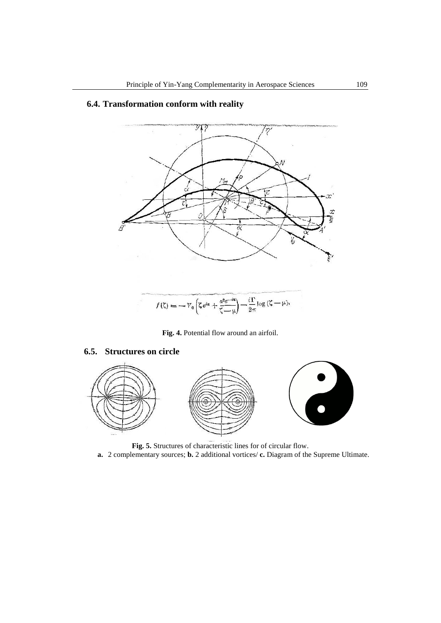

# **6.4. Transformation conform with reality**

**Fig. 4.** Potential flow around an airfoil.

### **6.5. Structures on circle**



**Fig. 5.** Structures of characteristic lines for of circular flow.

**a.** 2 complementary sources; **b.** 2 additional vortices/ **c.** Diagram of the Supreme Ultimate.